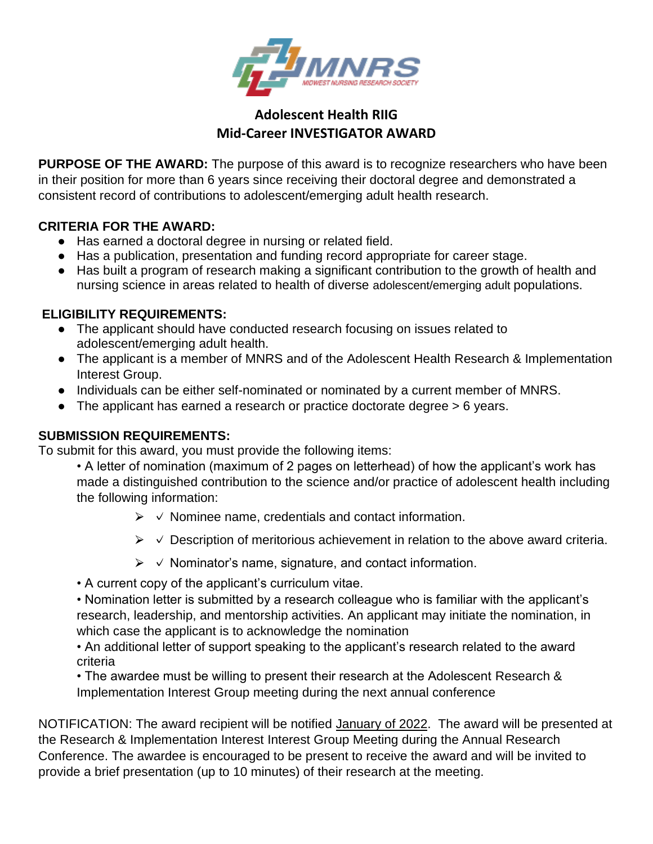

## **Adolescent Health RIIG Mid-Career INVESTIGATOR AWARD**

**PURPOSE OF THE AWARD:** The purpose of this award is to recognize researchers who have been in their position for more than 6 years since receiving their doctoral degree and demonstrated a consistent record of contributions to adolescent/emerging adult health research.

## **CRITERIA FOR THE AWARD:**

- Has earned a doctoral degree in nursing or related field.
- Has a publication, presentation and funding record appropriate for career stage.
- Has built a program of research making a significant contribution to the growth of health and nursing science in areas related to health of diverse adolescent/emerging adult populations.

## **ELIGIBILITY REQUIREMENTS:**

- The applicant should have conducted research focusing on issues related to adolescent/emerging adult health.
- The applicant is a member of MNRS and of the Adolescent Health Research & Implementation Interest Group.
- Individuals can be either self-nominated or nominated by a current member of MNRS.
- The applicant has earned a research or practice doctorate degree > 6 years.

## **SUBMISSION REQUIREMENTS:**

To submit for this award, you must provide the following items:

- A letter of nomination (maximum of 2 pages on letterhead) of how the applicant's work has made a distinguished contribution to the science and/or practice of adolescent health including the following information:
	- $\triangleright \vee$  Nominee name, credentials and contact information.
	- $\triangleright \checkmark$  Description of meritorious achievement in relation to the above award criteria.
	- $\triangleright \vee$  Nominator's name, signature, and contact information.
- A current copy of the applicant's curriculum vitae.

• Nomination letter is submitted by a research colleague who is familiar with the applicant's research, leadership, and mentorship activities. An applicant may initiate the nomination, in which case the applicant is to acknowledge the nomination

• An additional letter of support speaking to the applicant's research related to the award criteria

• The awardee must be willing to present their research at the Adolescent Research & Implementation Interest Group meeting during the next annual conference

NOTIFICATION: The award recipient will be notified January of 2022. The award will be presented at the Research & Implementation Interest Interest Group Meeting during the Annual Research Conference. The awardee is encouraged to be present to receive the award and will be invited to provide a brief presentation (up to 10 minutes) of their research at the meeting.